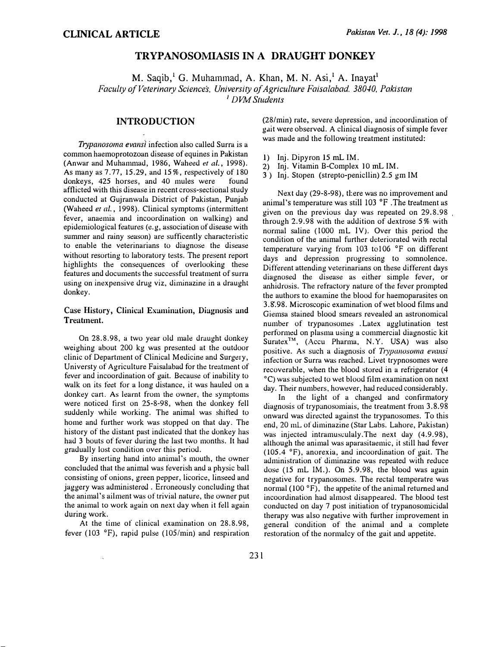# TRYPANOSOMIASIS IN A DRAUGHT DONKEY

M. Saqib,<sup>1</sup> G. Muhammad, A. Khan, M. N. Asi,<sup>1</sup> A. Inayat<sup>1</sup> Faculty of Veterinary Sciences, University of Agriculture Faisalabad. 38040, Pakistan <sup>1</sup> DVM Students

## INTRODUCTION

Trypanosoma evansi infection also called Surra is a common haemoprotozoan disease of equines in Pakistan (Anwar and Muhammad, 1986, Waheed et al., 1998). As many as 7.77, 15.29, and 15%, respectively of 180 donkeys, 425 horses, and 40 mules were found afflicted with this disease in recent cross-sectional study conducted at Gujranwala District of Pakistan, Punjab (Waheed et al., 1998). Clinical symptoms (intermittent fever, anaemia and incoordination on walking) and epidemiological features (e.g, association of disease with summer and rainy season) are sufficently characteristic to enable the veterinarians to diagnose the disease without resorting to laboratory tests. The present report highlights the consequences of overlooking these features and documents the successful treatment of surra using on inexpensive drug viz, diminazine in a draught donkey.

#### Case History, Clinical Examination, Diagnosis and Treatment.

On 28.8.98, a two year old male draught donkey weighing about 200 kg was presented at the outdoor clinic of Department of Clinical Medicine and Surgery, Universty of Agriculture Faisalabad for the treatment of fever and incoordination of gait. Because of inability to walk on its feet for a long distance, it was hauled on a donkey cart. As learnt from the owner, the symptoms were noticed first on 25-8-98, when the donkey fell suddenly while working. The animal was shifted to home and further work was stopped on that day. The history of the distant past indicated that the donkey has had 3 bouts of fever during the last two months. It had gradually lost condition over this period.

By inserting hand into animal's mouth, the owner concluded that the animal was feverish and a physic ball consisting of onions, green pepper, licorice, linseed and jaggery was administered . Erroneously concluding that the animal's ailment was of trivial nature, the owner put the animal to work again on next day when it fell again during work.

At the time of clinical examination on 28.8.98, fever (103 $\degree$ F), rapid pulse (105/min) and respiration

 $\ddot{\phantom{1}}$ 

(28/min) rate, severe depression, and incoordination of gait were observed. A clinical diagnosis of simple fever was made and the following treatment instituted:

- 1) Inj. Dipyron 15 mL IM.
- 2) Inj. Vitamin B-Complex 10 mL IM.
- 3 ) Inj. Stopen (strepto-penicllin) 2.5 gm IM

Next day (29-8-98), there was no improvement and animal's temperature was still  $103 \text{ °F}$ . The treatment as given on the previous day was repeated on 29.8.98 through 2.9.98 with the addition of dextrose 5% with normal saline (1000 mL IV). Over this period the condition of the animal further deteriorated with rectal temperature varying from 103 to 106 °F on different days and depression progressing to somnolence. Different attending veterinarians on these different days diagnosed the disease as either simple fever, or anhidrosis. The refractory nature of the fever prompted the authors to examine the blood for haemoparasites on 3.8'.98. Microscopic examination of wet blood tilms and Giemsa stained blood smears revealed an astronomical number of trypanosomes . Latex agglutination test performed on plasma using a commercial diagnostic kit  $Suratex^{TM}$ , (Accu Pharma, N.Y. USA) was also positive. As such a diagnosis of Trypanosoma evansi infection or Surra was reached. Livet trypnosomes were recoverable, when the blood stored in a refrigerator (4 o C) was subjected to wet blood film examination on next day. Their numbers, however, had reduced considerably.

In the light of a changed and confirmatory diagnosis of trypanosomiais, the treatment from 3.8.98 onward was directed against the trypanosomes. To this end, 20 mL of diminazine (Star Labs. Lahore, Pakistan) was injected intramusculaly. The next day (4.9.98), although the animal was aparasitaemic, it still had fever (105.4 °F), anorexia, and incoordination of gait. The administration of diminazine was repeated with reduce dose (15 mL IM.). On 5.9.98, the blood was again negative for trypanosomes. The rectal temperatre was normal (100 $\degree$ F), the appetite of the animal returned and incoordination had almost disappeared. The blood test conducted on day 7 post initiation of trypanosomicidal therapy was also negative with further improvement in general condition of the animal and a complete restoration of the normalcy of the gait and appetite.